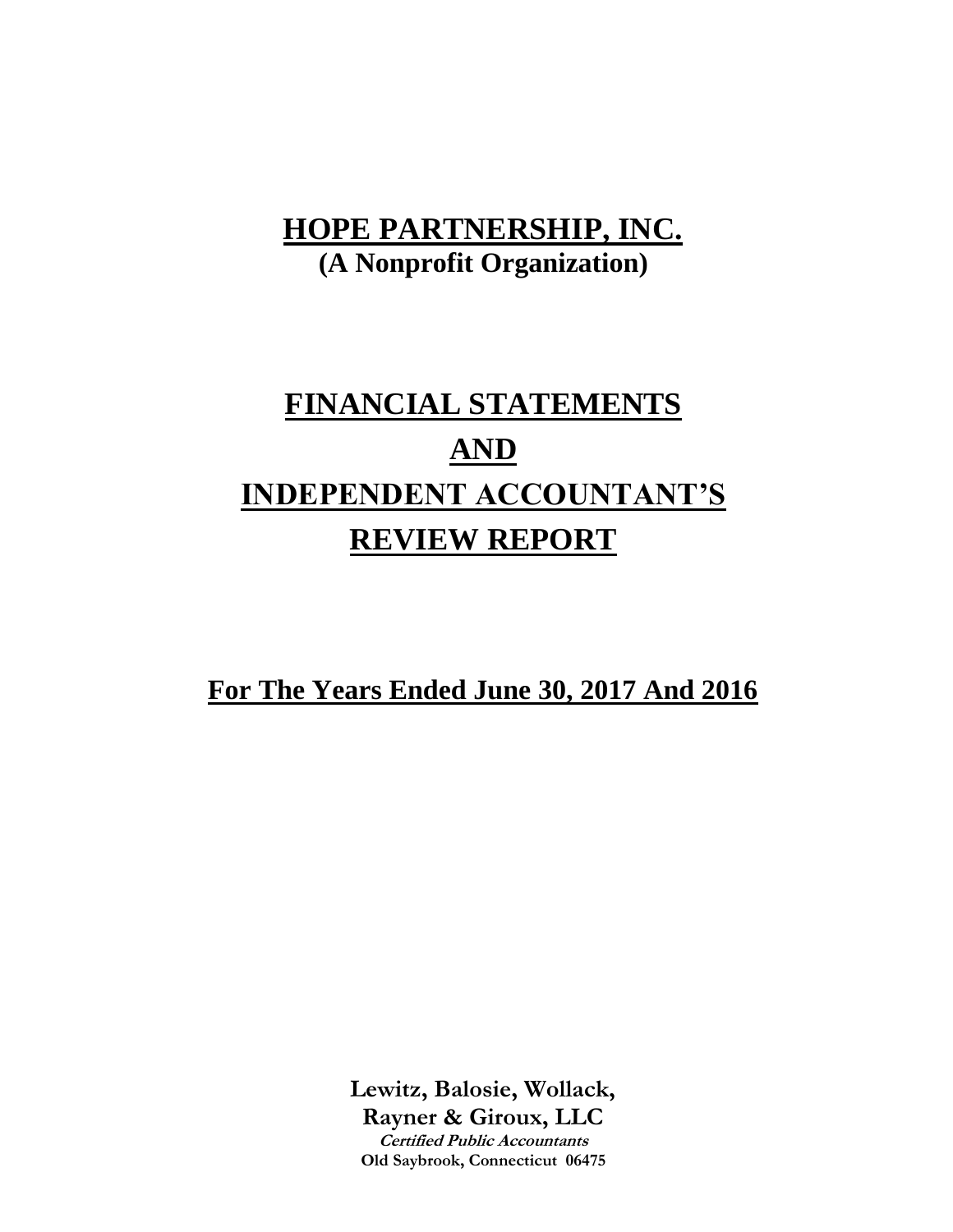# **FINANCIAL STATEMENTS AND INDEPENDENT ACCOUNTANT'S REVIEW REPORT**

**For The Years Ended June 30, 2017 And 2016**

**Lewitz, Balosie, Wollack, Rayner & Giroux, LLC Certified Public Accountants Old Saybrook, Connecticut 06475**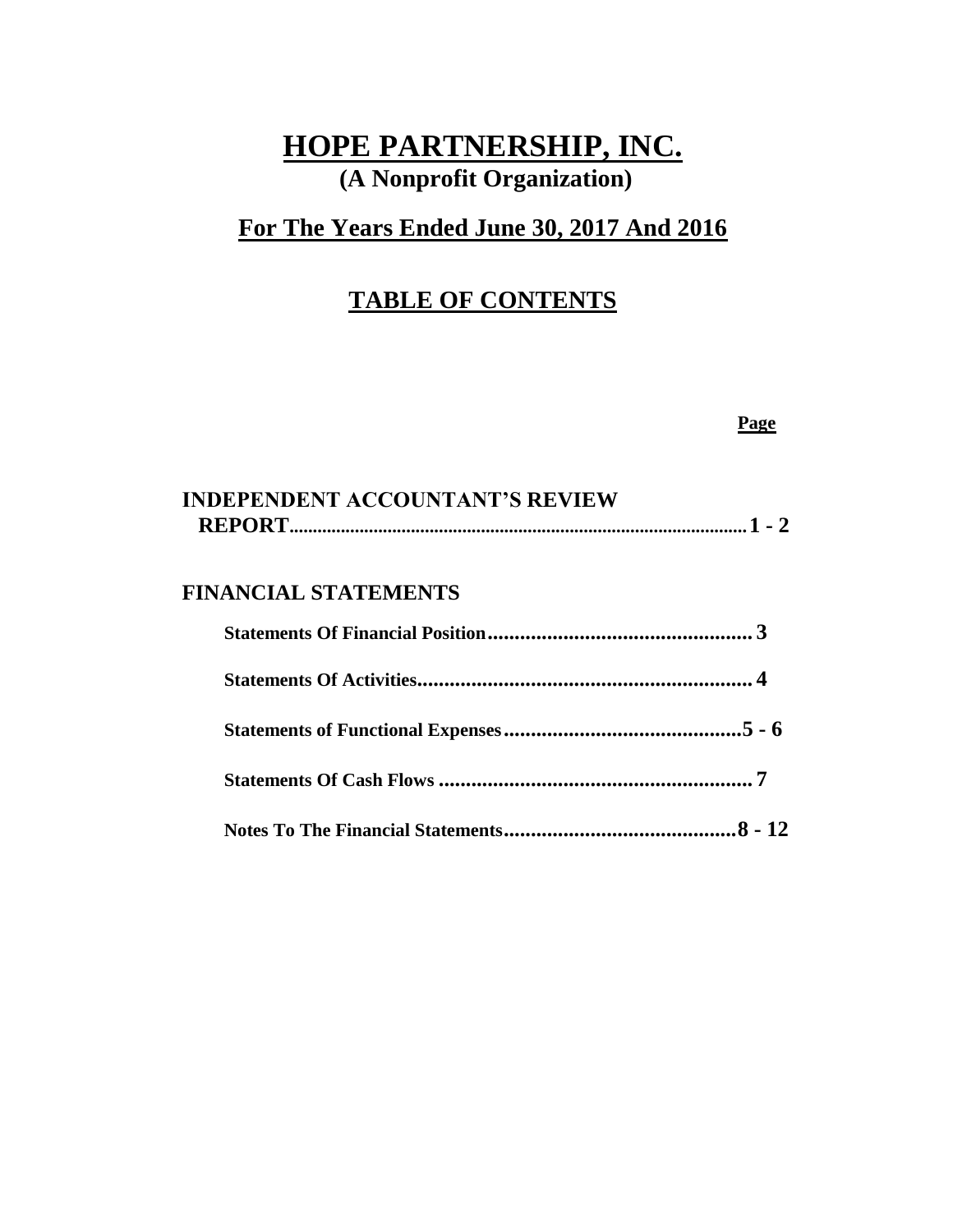### **For The Years Ended June 30, 2017 And 2016**

### **TABLE OF CONTENTS**

#### **Page**

| <b>INDEPENDENT ACCOUNTANT'S REVIEW</b> |  |  |
|----------------------------------------|--|--|
|                                        |  |  |

#### **FINANCIAL STATEMENTS**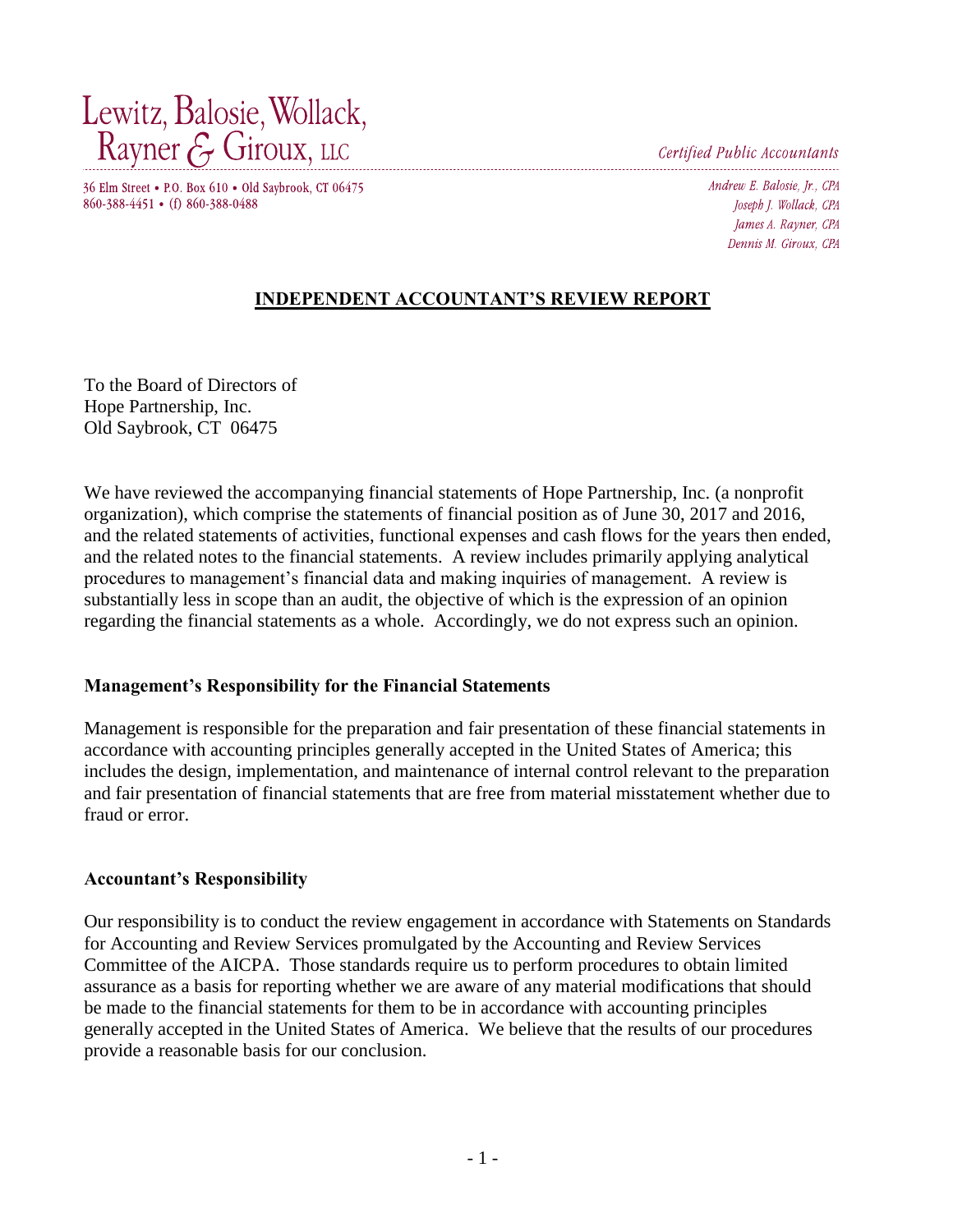Lewitz, Balosie, Wollack, Rayner & Giroux, LLC

Certified Public Accountants

36 Elm Street • P.O. Box 610 • Old Saybrook, CT 06475 860-388-4451 • (f) 860-388-0488

Andrew E. Balosie, Jr., CPA Joseph J. Wollack, CPA James A. Rayner, CPA Dennis M. Giroux. CPA

#### **INDEPENDENT ACCOUNTANT'S REVIEW REPORT**

To the Board of Directors of Hope Partnership, Inc. Old Saybrook, CT 06475

We have reviewed the accompanying financial statements of Hope Partnership, Inc. (a nonprofit organization), which comprise the statements of financial position as of June 30, 2017 and 2016, and the related statements of activities, functional expenses and cash flows for the years then ended, and the related notes to the financial statements. A review includes primarily applying analytical procedures to management's financial data and making inquiries of management. A review is substantially less in scope than an audit, the objective of which is the expression of an opinion regarding the financial statements as a whole. Accordingly, we do not express such an opinion.

#### **Management's Responsibility for the Financial Statements**

Management is responsible for the preparation and fair presentation of these financial statements in accordance with accounting principles generally accepted in the United States of America; this includes the design, implementation, and maintenance of internal control relevant to the preparation and fair presentation of financial statements that are free from material misstatement whether due to fraud or error.

#### **Accountant's Responsibility**

Our responsibility is to conduct the review engagement in accordance with Statements on Standards for Accounting and Review Services promulgated by the Accounting and Review Services Committee of the AICPA. Those standards require us to perform procedures to obtain limited assurance as a basis for reporting whether we are aware of any material modifications that should be made to the financial statements for them to be in accordance with accounting principles generally accepted in the United States of America. We believe that the results of our procedures provide a reasonable basis for our conclusion.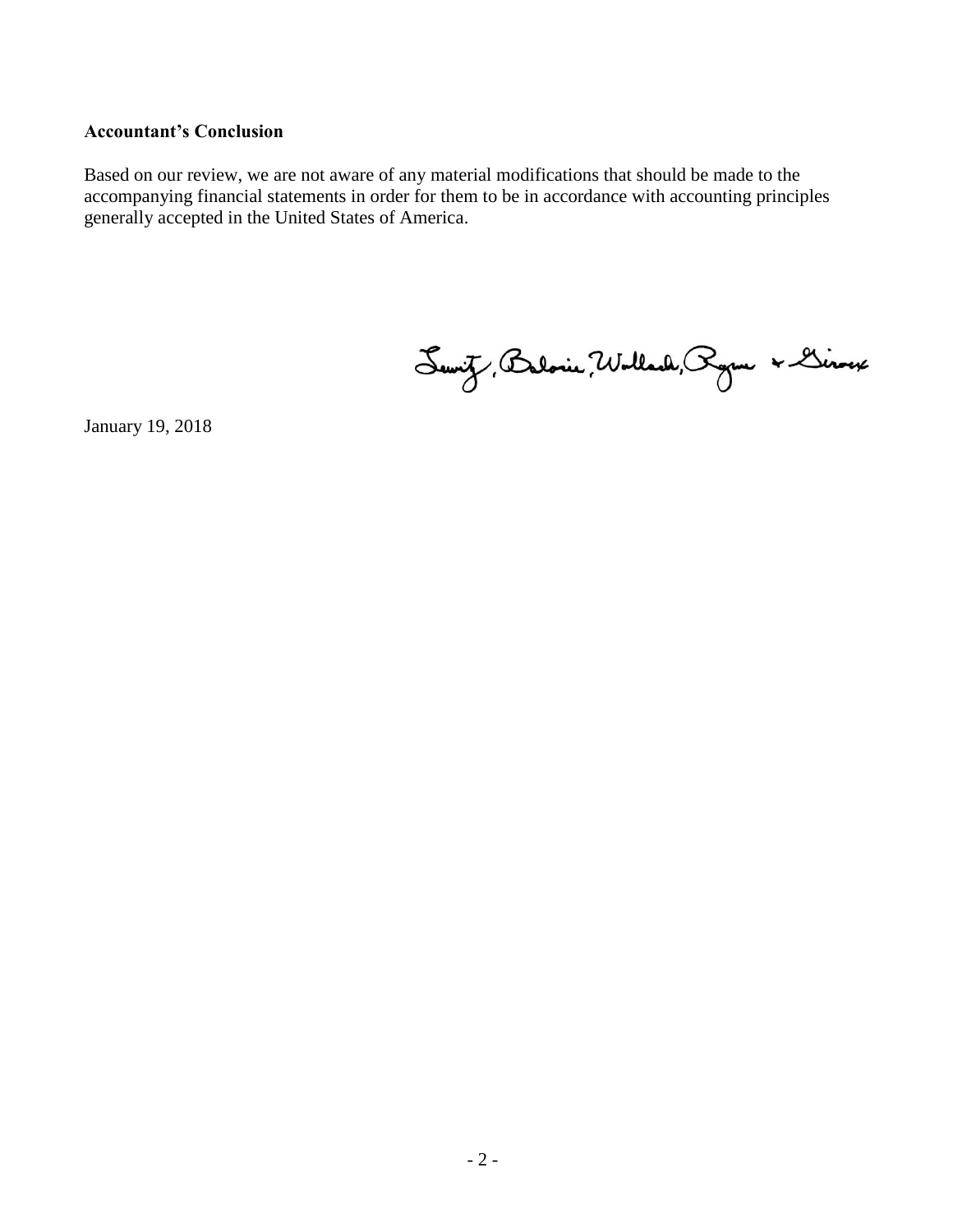#### **Accountant's Conclusion**

Based on our review, we are not aware of any material modifications that should be made to the accompanying financial statements in order for them to be in accordance with accounting principles generally accepted in the United States of America.

Servit, Balonie, Wollach, Ryon & Linoux

January 19, 2018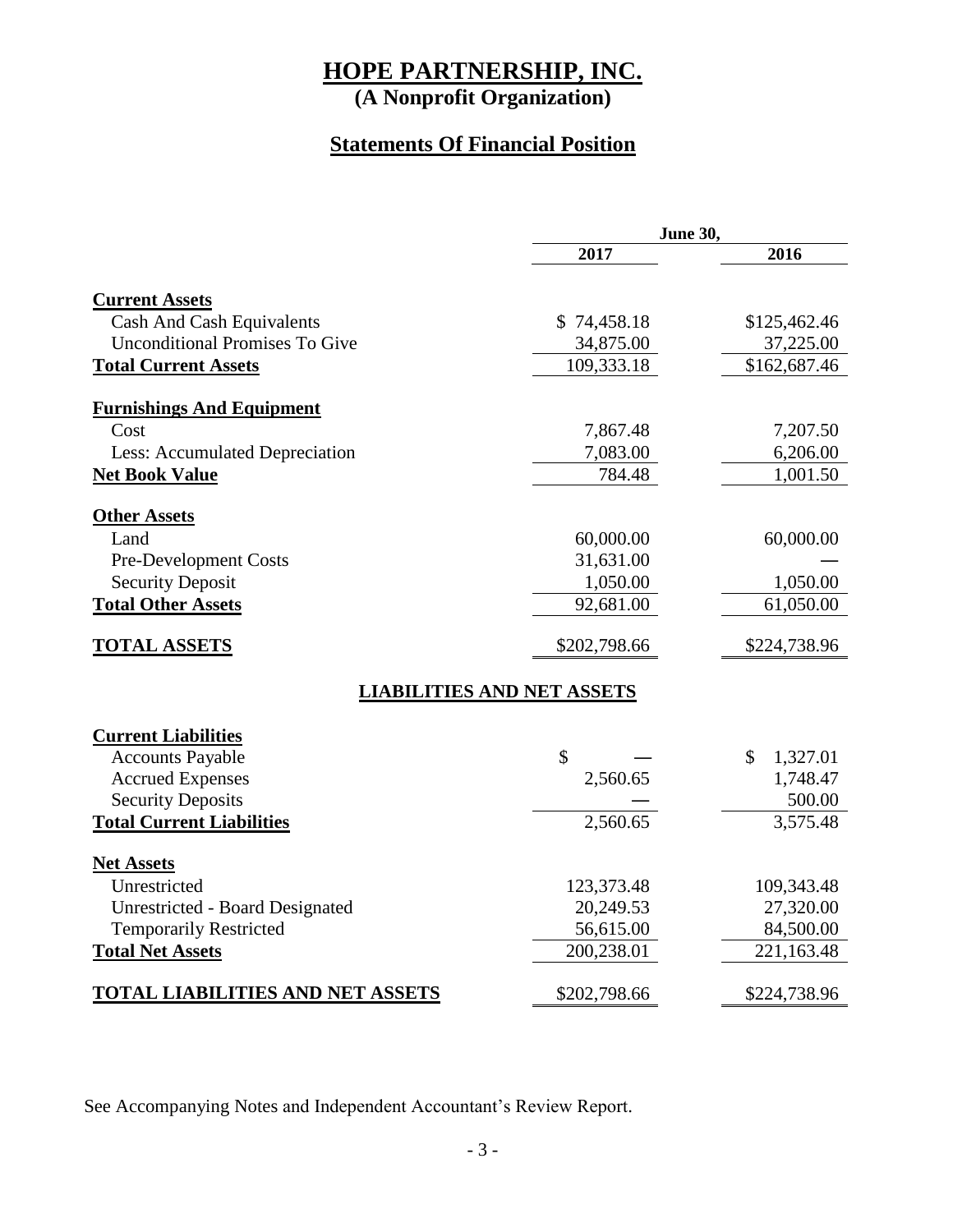**(A Nonprofit Organization)**

### **Statements Of Financial Position**

|                                         | June 30,                          |              |  |
|-----------------------------------------|-----------------------------------|--------------|--|
|                                         | 2017                              | 2016         |  |
| <b>Current Assets</b>                   |                                   |              |  |
| <b>Cash And Cash Equivalents</b>        | \$74,458.18                       | \$125,462.46 |  |
| <b>Unconditional Promises To Give</b>   | 34,875.00                         | 37,225.00    |  |
| <b>Total Current Assets</b>             | 109,333.18                        | \$162,687.46 |  |
| <b>Furnishings And Equipment</b>        |                                   |              |  |
| Cost                                    | 7,867.48                          | 7,207.50     |  |
| Less: Accumulated Depreciation          | 7,083.00                          | 6,206.00     |  |
| <b>Net Book Value</b>                   | 784.48                            | 1,001.50     |  |
| <b>Other Assets</b>                     |                                   |              |  |
| Land                                    | 60,000.00                         | 60,000.00    |  |
| <b>Pre-Development Costs</b>            | 31,631.00                         |              |  |
| <b>Security Deposit</b>                 | 1,050.00                          | 1,050.00     |  |
| <b>Total Other Assets</b>               | 92,681.00                         | 61,050.00    |  |
| <b>TOTAL ASSETS</b>                     | \$202,798.66                      | \$224,738.96 |  |
|                                         | <b>LIABILITIES AND NET ASSETS</b> |              |  |
| <b>Current Liabilities</b>              |                                   |              |  |
| <b>Accounts Payable</b>                 | $\mathcal{S}$                     | 1,327.01     |  |
| <b>Accrued Expenses</b>                 | 2,560.65                          | 1,748.47     |  |
| <b>Security Deposits</b>                |                                   | 500.00       |  |
| <b>Total Current Liabilities</b>        | 2,560.65                          | 3,575.48     |  |
| <b>Net Assets</b>                       |                                   |              |  |
| Unrestricted                            | 123,373.48                        | 109,343.48   |  |
| <b>Unrestricted - Board Designated</b>  | 20,249.53                         | 27,320.00    |  |
| <b>Temporarily Restricted</b>           | 56,615.00                         | 84,500.00    |  |
| <b>Total Net Assets</b>                 | 200,238.01                        | 221,163.48   |  |
| <b>TOTAL LIABILITIES AND NET ASSETS</b> | \$202,798.66                      | \$224,738.96 |  |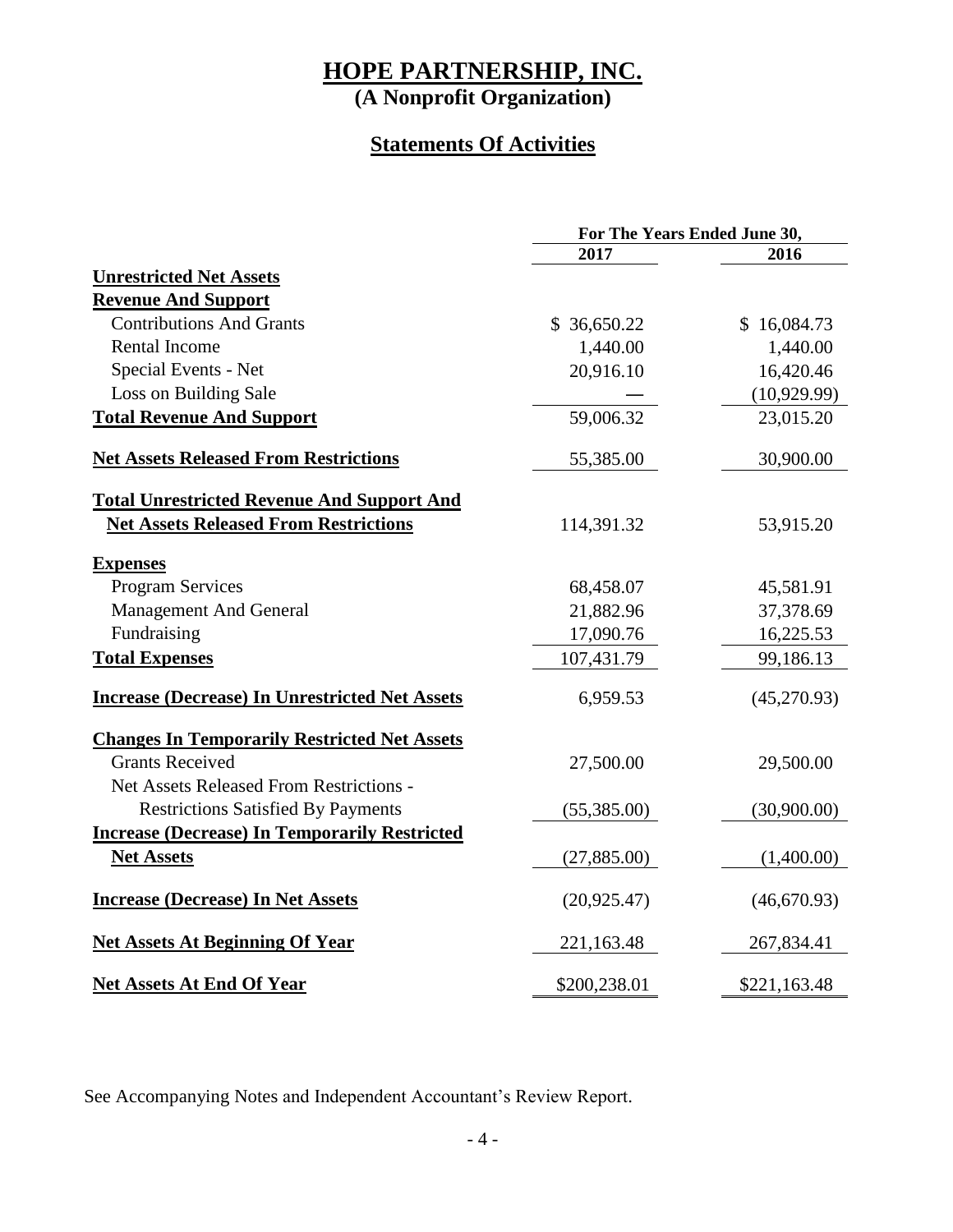**(A Nonprofit Organization)**

### **Statements Of Activities**

|                                                       | For The Years Ended June 30, |              |  |
|-------------------------------------------------------|------------------------------|--------------|--|
|                                                       | 2017                         | 2016         |  |
| <b>Unrestricted Net Assets</b>                        |                              |              |  |
| <b>Revenue And Support</b>                            |                              |              |  |
| <b>Contributions And Grants</b>                       | \$36,650.22                  | \$16,084.73  |  |
| Rental Income                                         | 1,440.00                     | 1,440.00     |  |
| Special Events - Net                                  | 20,916.10                    | 16,420.46    |  |
| Loss on Building Sale                                 |                              | (10,929.99)  |  |
| <b>Total Revenue And Support</b>                      | 59,006.32                    | 23,015.20    |  |
| <b>Net Assets Released From Restrictions</b>          | 55,385.00                    | 30,900.00    |  |
| <b>Total Unrestricted Revenue And Support And</b>     |                              |              |  |
| <b>Net Assets Released From Restrictions</b>          | 114,391.32                   | 53,915.20    |  |
| <b>Expenses</b>                                       |                              |              |  |
| <b>Program Services</b>                               | 68,458.07                    | 45,581.91    |  |
| <b>Management And General</b>                         | 21,882.96                    | 37,378.69    |  |
| Fundraising                                           | 17,090.76                    | 16,225.53    |  |
| <b>Total Expenses</b>                                 | 107,431.79                   | 99,186.13    |  |
| <b>Increase (Decrease) In Unrestricted Net Assets</b> | 6,959.53                     | (45,270.93)  |  |
| <b>Changes In Temporarily Restricted Net Assets</b>   |                              |              |  |
| <b>Grants Received</b>                                | 27,500.00                    | 29,500.00    |  |
| Net Assets Released From Restrictions -               |                              |              |  |
| <b>Restrictions Satisfied By Payments</b>             | (55,385.00)                  | (30,900.00)  |  |
| <b>Increase (Decrease) In Temporarily Restricted</b>  |                              |              |  |
| <b>Net Assets</b>                                     | (27,885.00)                  | (1,400.00)   |  |
| <b>Increase (Decrease) In Net Assets</b>              | (20, 925.47)                 | (46,670.93)  |  |
| <b>Net Assets At Beginning Of Year</b>                | 221,163.48                   | 267,834.41   |  |
| <b>Net Assets At End Of Year</b>                      | \$200,238.01                 | \$221,163.48 |  |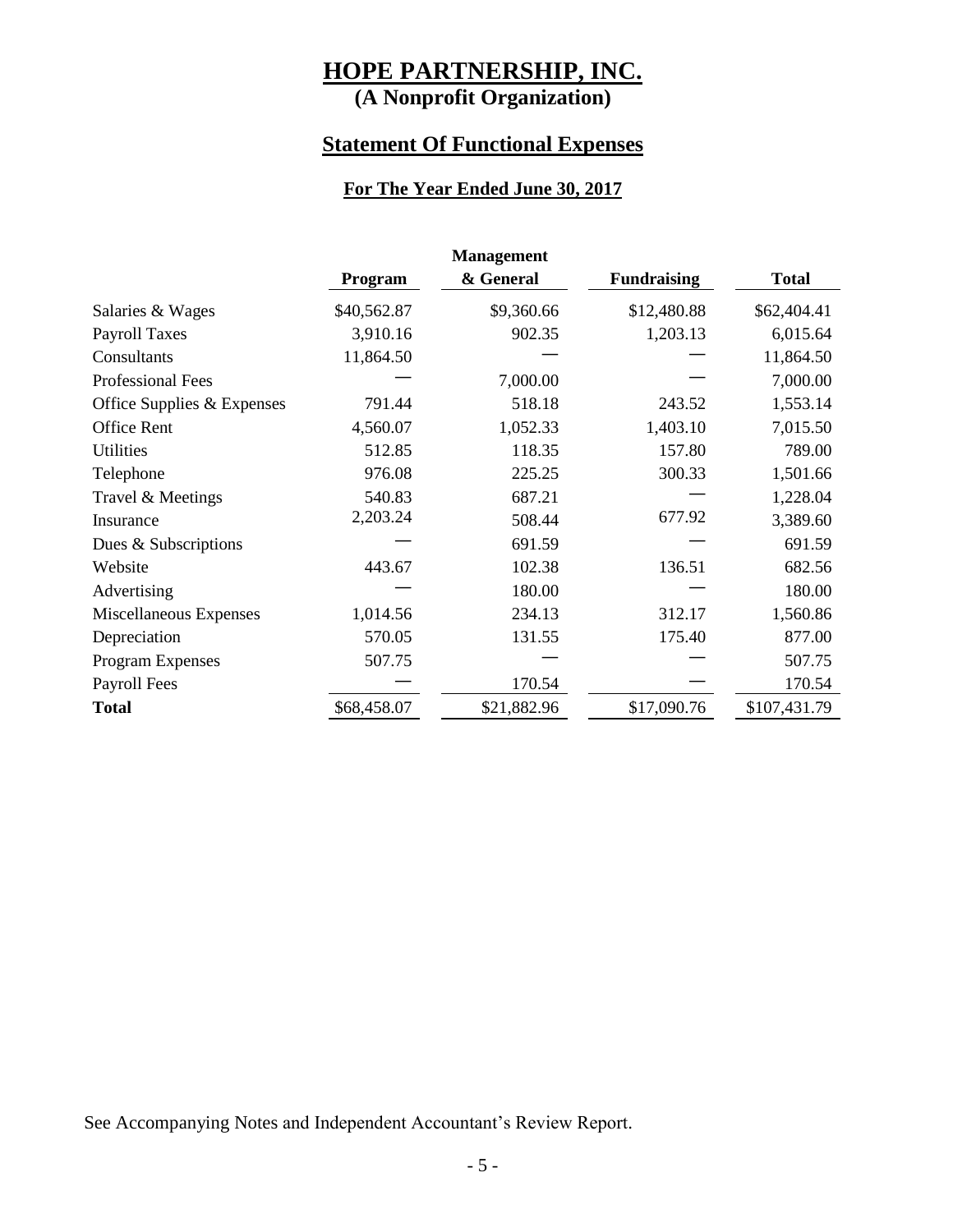**(A Nonprofit Organization)**

#### **Statement Of Functional Expenses**

#### **For The Year Ended June 30, 2017**

| <b>Management</b>          |             |             |                    |              |
|----------------------------|-------------|-------------|--------------------|--------------|
|                            | Program     | & General   | <b>Fundraising</b> | <b>Total</b> |
| Salaries & Wages           | \$40,562.87 | \$9,360.66  | \$12,480.88        | \$62,404.41  |
| <b>Payroll Taxes</b>       | 3,910.16    | 902.35      | 1,203.13           | 6,015.64     |
| Consultants                | 11,864.50   |             |                    | 11,864.50    |
| <b>Professional Fees</b>   |             | 7,000.00    |                    | 7,000.00     |
| Office Supplies & Expenses | 791.44      | 518.18      | 243.52             | 1,553.14     |
| Office Rent                | 4,560.07    | 1,052.33    | 1,403.10           | 7,015.50     |
| <b>Utilities</b>           | 512.85      | 118.35      | 157.80             | 789.00       |
| Telephone                  | 976.08      | 225.25      | 300.33             | 1,501.66     |
| Travel & Meetings          | 540.83      | 687.21      |                    | 1,228.04     |
| Insurance                  | 2,203.24    | 508.44      | 677.92             | 3,389.60     |
| Dues & Subscriptions       |             | 691.59      |                    | 691.59       |
| Website                    | 443.67      | 102.38      | 136.51             | 682.56       |
| Advertising                |             | 180.00      |                    | 180.00       |
| Miscellaneous Expenses     | 1,014.56    | 234.13      | 312.17             | 1,560.86     |
| Depreciation               | 570.05      | 131.55      | 175.40             | 877.00       |
| Program Expenses           | 507.75      |             |                    | 507.75       |
| Payroll Fees               |             | 170.54      |                    | 170.54       |
| <b>Total</b>               | \$68,458.07 | \$21,882.96 | \$17,090.76        | \$107,431.79 |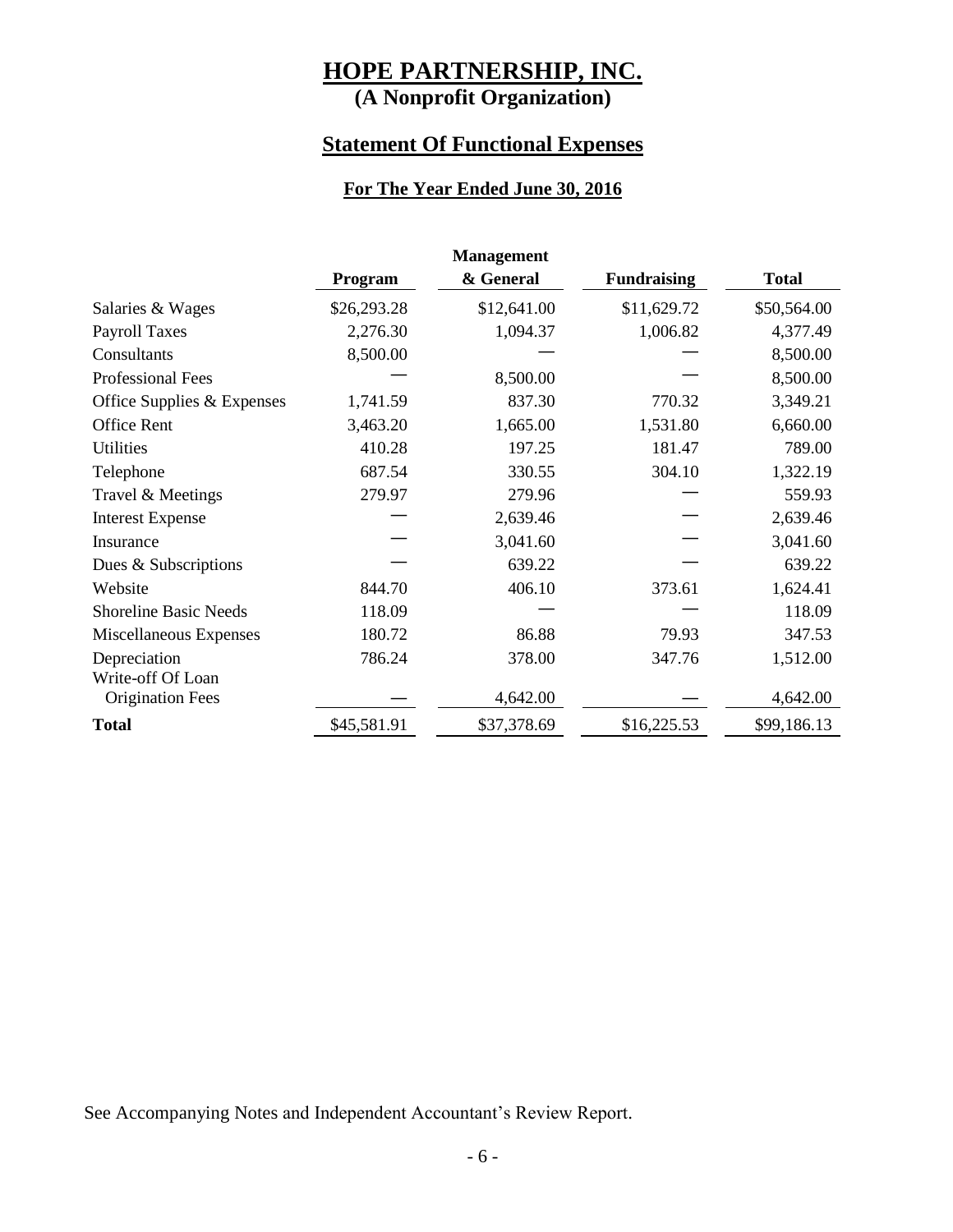**(A Nonprofit Organization)**

#### **Statement Of Functional Expenses**

#### **For The Year Ended June 30, 2016**

| <b>Management</b>            |             |             |                    |              |
|------------------------------|-------------|-------------|--------------------|--------------|
|                              | Program     | & General   | <b>Fundraising</b> | <b>Total</b> |
| Salaries & Wages             | \$26,293.28 | \$12,641.00 | \$11,629.72        | \$50,564.00  |
| <b>Payroll Taxes</b>         | 2,276.30    | 1,094.37    | 1,006.82           | 4,377.49     |
| Consultants                  | 8,500.00    |             |                    | 8,500.00     |
| <b>Professional Fees</b>     |             | 8,500.00    |                    | 8,500.00     |
| Office Supplies & Expenses   | 1,741.59    | 837.30      | 770.32             | 3,349.21     |
| <b>Office Rent</b>           | 3,463.20    | 1,665.00    | 1,531.80           | 6,660.00     |
| <b>Utilities</b>             | 410.28      | 197.25      | 181.47             | 789.00       |
| Telephone                    | 687.54      | 330.55      | 304.10             | 1,322.19     |
| Travel & Meetings            | 279.97      | 279.96      |                    | 559.93       |
| <b>Interest Expense</b>      |             | 2,639.46    |                    | 2,639.46     |
| Insurance                    |             | 3,041.60    |                    | 3,041.60     |
| Dues & Subscriptions         |             | 639.22      |                    | 639.22       |
| Website                      | 844.70      | 406.10      | 373.61             | 1,624.41     |
| <b>Shoreline Basic Needs</b> | 118.09      |             |                    | 118.09       |
| Miscellaneous Expenses       | 180.72      | 86.88       | 79.93              | 347.53       |
| Depreciation                 | 786.24      | 378.00      | 347.76             | 1,512.00     |
| Write-off Of Loan            |             |             |                    |              |
| <b>Origination Fees</b>      |             | 4,642.00    |                    | 4,642.00     |
| <b>Total</b>                 | \$45,581.91 | \$37,378.69 | \$16,225.53        | \$99,186.13  |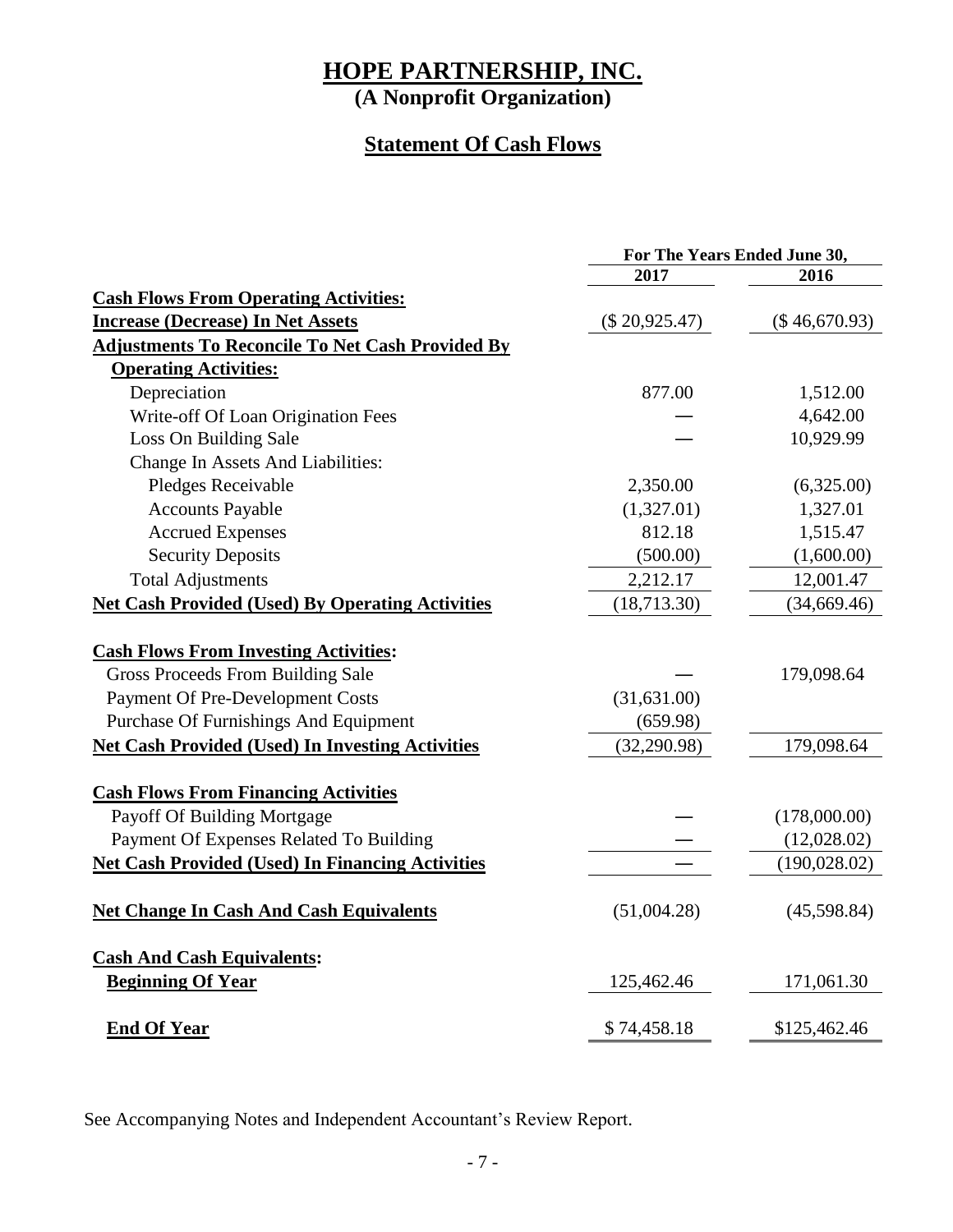**(A Nonprofit Organization)**

### **Statement Of Cash Flows**

|                                                         | For The Years Ended June 30, |               |  |
|---------------------------------------------------------|------------------------------|---------------|--|
|                                                         | 2017                         | 2016          |  |
| <b>Cash Flows From Operating Activities:</b>            |                              |               |  |
| <b>Increase (Decrease) In Net Assets</b>                | $(\$20,925.47)$              | (\$46,670.93) |  |
| <b>Adjustments To Reconcile To Net Cash Provided By</b> |                              |               |  |
| <b>Operating Activities:</b>                            |                              |               |  |
| Depreciation                                            | 877.00                       | 1,512.00      |  |
| Write-off Of Loan Origination Fees                      |                              | 4,642.00      |  |
| Loss On Building Sale                                   |                              | 10,929.99     |  |
| Change In Assets And Liabilities:                       |                              |               |  |
| Pledges Receivable                                      | 2,350.00                     | (6,325.00)    |  |
| <b>Accounts Payable</b>                                 | (1,327.01)                   | 1,327.01      |  |
| <b>Accrued Expenses</b>                                 | 812.18                       | 1,515.47      |  |
| <b>Security Deposits</b>                                | (500.00)                     | (1,600.00)    |  |
| <b>Total Adjustments</b>                                | 2,212.17                     | 12,001.47     |  |
| <b>Net Cash Provided (Used) By Operating Activities</b> | (18, 713.30)                 | (34, 669.46)  |  |
|                                                         |                              |               |  |
| <b>Cash Flows From Investing Activities:</b>            |                              |               |  |
| Gross Proceeds From Building Sale                       |                              | 179,098.64    |  |
| <b>Payment Of Pre-Development Costs</b>                 | (31, 631.00)                 |               |  |
| <b>Purchase Of Furnishings And Equipment</b>            | (659.98)                     |               |  |
| <b>Net Cash Provided (Used) In Investing Activities</b> | (32, 290.98)                 | 179,098.64    |  |
|                                                         |                              |               |  |
| <b>Cash Flows From Financing Activities</b>             |                              |               |  |
| Payoff Of Building Mortgage                             |                              | (178,000.00)  |  |
| Payment Of Expenses Related To Building                 |                              | (12,028.02)   |  |
| <b>Net Cash Provided (Used) In Financing Activities</b> |                              | (190, 028.02) |  |
|                                                         |                              |               |  |
| <b>Net Change In Cash And Cash Equivalents</b>          | (51,004.28)                  | (45,598.84)   |  |
|                                                         |                              |               |  |
| <b>Cash And Cash Equivalents:</b>                       |                              |               |  |
| <b>Beginning Of Year</b>                                | 125,462.46                   | 171,061.30    |  |
|                                                         |                              |               |  |
| <b>End Of Year</b>                                      | \$74,458.18                  | \$125,462.46  |  |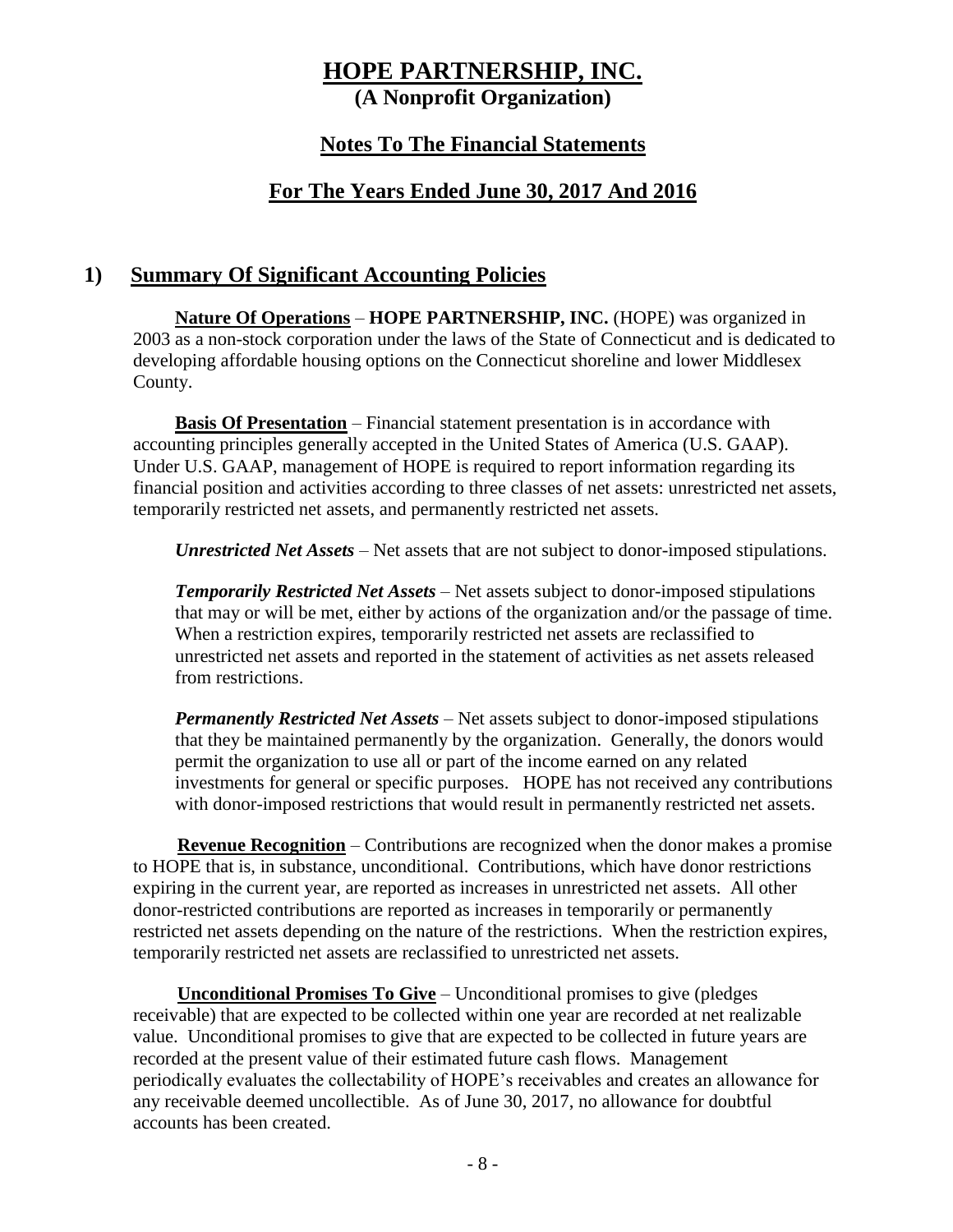**(A Nonprofit Organization)**

#### **Notes To The Financial Statements**

#### **For The Years Ended June 30, 2017 And 2016**

#### **1) Summary Of Significant Accounting Policies**

**Nature Of Operations** – **HOPE PARTNERSHIP, INC.** (HOPE) was organized in 2003 as a non-stock corporation under the laws of the State of Connecticut and is dedicated to developing affordable housing options on the Connecticut shoreline and lower Middlesex County.

**Basis Of Presentation** – Financial statement presentation is in accordance with accounting principles generally accepted in the United States of America (U.S. GAAP). Under U.S. GAAP, management of HOPE is required to report information regarding its financial position and activities according to three classes of net assets: unrestricted net assets, temporarily restricted net assets, and permanently restricted net assets.

*Unrestricted Net Assets* – Net assets that are not subject to donor-imposed stipulations.

*Temporarily Restricted Net Assets* – Net assets subject to donor-imposed stipulations that may or will be met, either by actions of the organization and/or the passage of time. When a restriction expires, temporarily restricted net assets are reclassified to unrestricted net assets and reported in the statement of activities as net assets released from restrictions.

*Permanently Restricted Net Assets* – Net assets subject to donor-imposed stipulations that they be maintained permanently by the organization. Generally, the donors would permit the organization to use all or part of the income earned on any related investments for general or specific purposes. HOPE has not received any contributions with donor-imposed restrictions that would result in permanently restricted net assets.

**Revenue Recognition** – Contributions are recognized when the donor makes a promise to HOPE that is, in substance, unconditional. Contributions, which have donor restrictions expiring in the current year, are reported as increases in unrestricted net assets. All other donor-restricted contributions are reported as increases in temporarily or permanently restricted net assets depending on the nature of the restrictions. When the restriction expires, temporarily restricted net assets are reclassified to unrestricted net assets.

**Unconditional Promises To Give** – Unconditional promises to give (pledges receivable) that are expected to be collected within one year are recorded at net realizable value. Unconditional promises to give that are expected to be collected in future years are recorded at the present value of their estimated future cash flows. Management periodically evaluates the collectability of HOPE's receivables and creates an allowance for any receivable deemed uncollectible. As of June 30, 2017, no allowance for doubtful accounts has been created.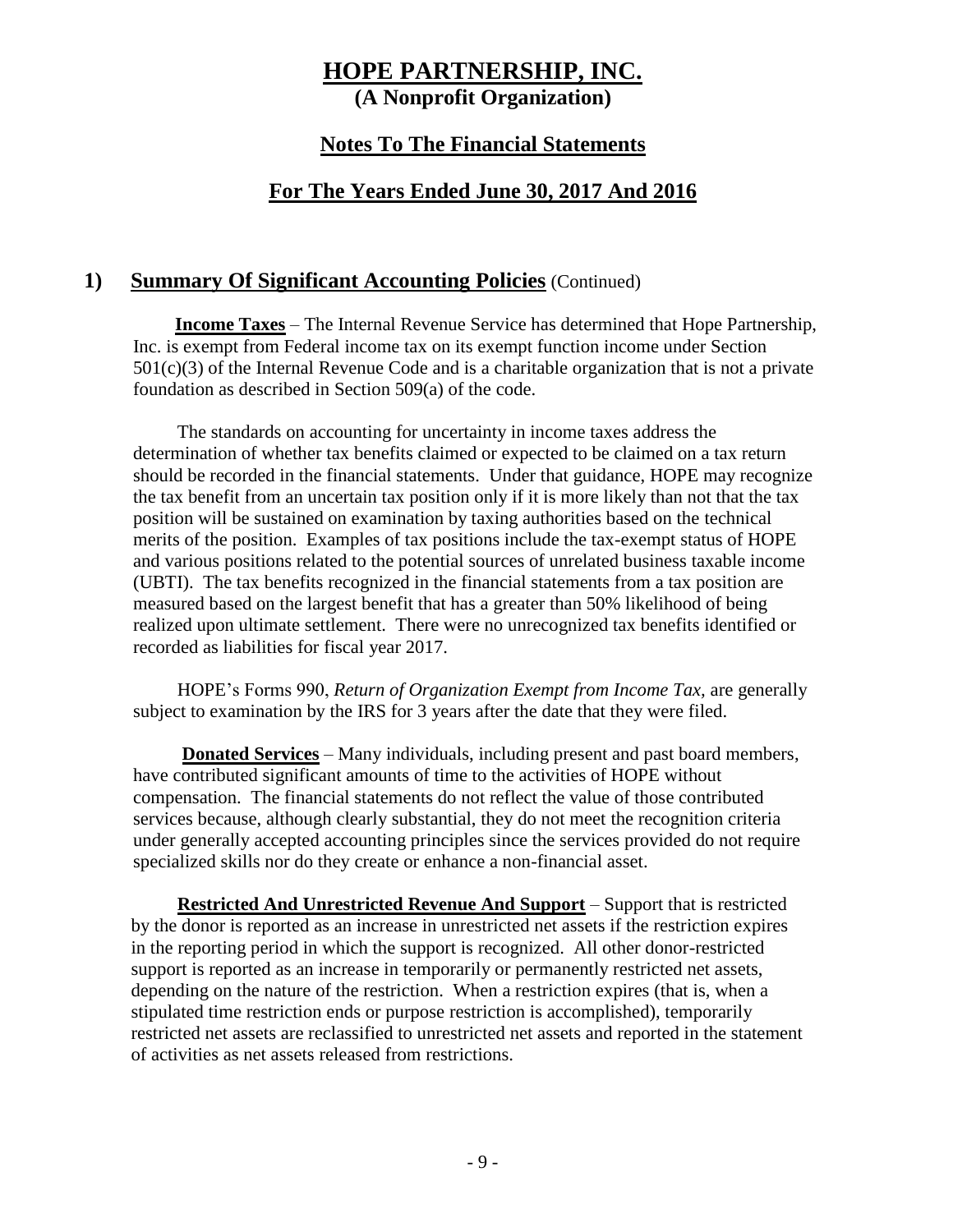#### **Notes To The Financial Statements**

#### **For The Years Ended June 30, 2017 And 2016**

#### **1) Summary Of Significant Accounting Policies** (Continued)

**Income Taxes** – The Internal Revenue Service has determined that Hope Partnership, Inc. is exempt from Federal income tax on its exempt function income under Section  $501(c)(3)$  of the Internal Revenue Code and is a charitable organization that is not a private foundation as described in Section 509(a) of the code.

The standards on accounting for uncertainty in income taxes address the determination of whether tax benefits claimed or expected to be claimed on a tax return should be recorded in the financial statements. Under that guidance, HOPE may recognize the tax benefit from an uncertain tax position only if it is more likely than not that the tax position will be sustained on examination by taxing authorities based on the technical merits of the position. Examples of tax positions include the tax-exempt status of HOPE and various positions related to the potential sources of unrelated business taxable income (UBTI). The tax benefits recognized in the financial statements from a tax position are measured based on the largest benefit that has a greater than 50% likelihood of being realized upon ultimate settlement. There were no unrecognized tax benefits identified or recorded as liabilities for fiscal year 2017.

HOPE's Forms 990, *Return of Organization Exempt from Income Tax,* are generally subject to examination by the IRS for 3 years after the date that they were filed.

**Donated Services** – Many individuals, including present and past board members, have contributed significant amounts of time to the activities of HOPE without compensation. The financial statements do not reflect the value of those contributed services because, although clearly substantial, they do not meet the recognition criteria under generally accepted accounting principles since the services provided do not require specialized skills nor do they create or enhance a non-financial asset.

**Restricted And Unrestricted Revenue And Support** – Support that is restricted by the donor is reported as an increase in unrestricted net assets if the restriction expires in the reporting period in which the support is recognized. All other donor-restricted support is reported as an increase in temporarily or permanently restricted net assets, depending on the nature of the restriction. When a restriction expires (that is, when a stipulated time restriction ends or purpose restriction is accomplished), temporarily restricted net assets are reclassified to unrestricted net assets and reported in the statement of activities as net assets released from restrictions.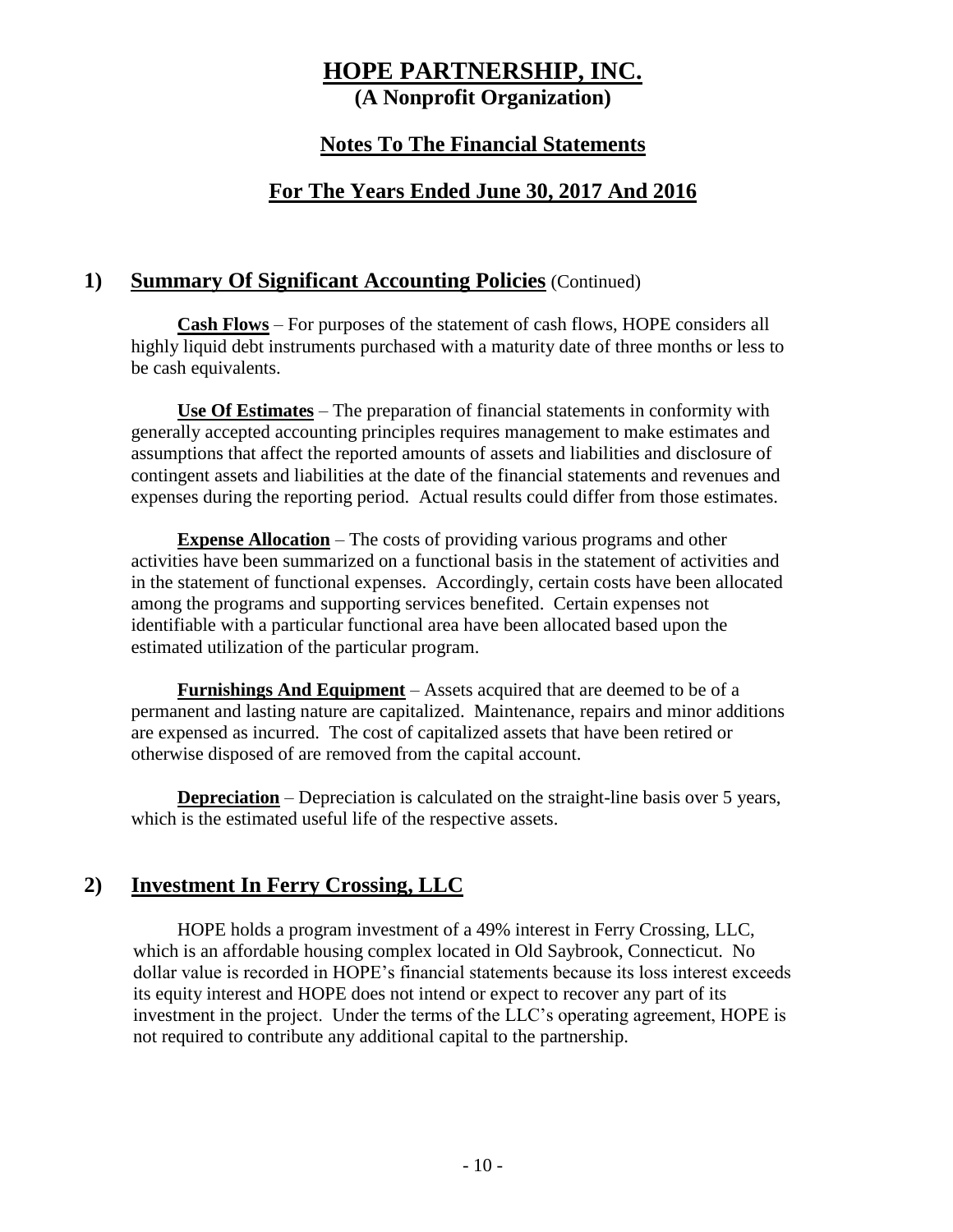#### **Notes To The Financial Statements**

#### **For The Years Ended June 30, 2017 And 2016**

#### **1) Summary Of Significant Accounting Policies** (Continued)

**Cash Flows** – For purposes of the statement of cash flows, HOPE considers all highly liquid debt instruments purchased with a maturity date of three months or less to be cash equivalents.

**Use Of Estimates** – The preparation of financial statements in conformity with generally accepted accounting principles requires management to make estimates and assumptions that affect the reported amounts of assets and liabilities and disclosure of contingent assets and liabilities at the date of the financial statements and revenues and expenses during the reporting period. Actual results could differ from those estimates.

**Expense Allocation** – The costs of providing various programs and other activities have been summarized on a functional basis in the statement of activities and in the statement of functional expenses. Accordingly, certain costs have been allocated among the programs and supporting services benefited. Certain expenses not identifiable with a particular functional area have been allocated based upon the estimated utilization of the particular program.

**Furnishings And Equipment** – Assets acquired that are deemed to be of a permanent and lasting nature are capitalized. Maintenance, repairs and minor additions are expensed as incurred. The cost of capitalized assets that have been retired or otherwise disposed of are removed from the capital account.

**Depreciation** – Depreciation is calculated on the straight-line basis over 5 years, which is the estimated useful life of the respective assets.

#### **2) Investment In Ferry Crossing, LLC**

HOPE holds a program investment of a 49% interest in Ferry Crossing, LLC, which is an affordable housing complex located in Old Saybrook, Connecticut. No dollar value is recorded in HOPE's financial statements because its loss interest exceeds its equity interest and HOPE does not intend or expect to recover any part of its investment in the project. Under the terms of the LLC's operating agreement, HOPE is not required to contribute any additional capital to the partnership.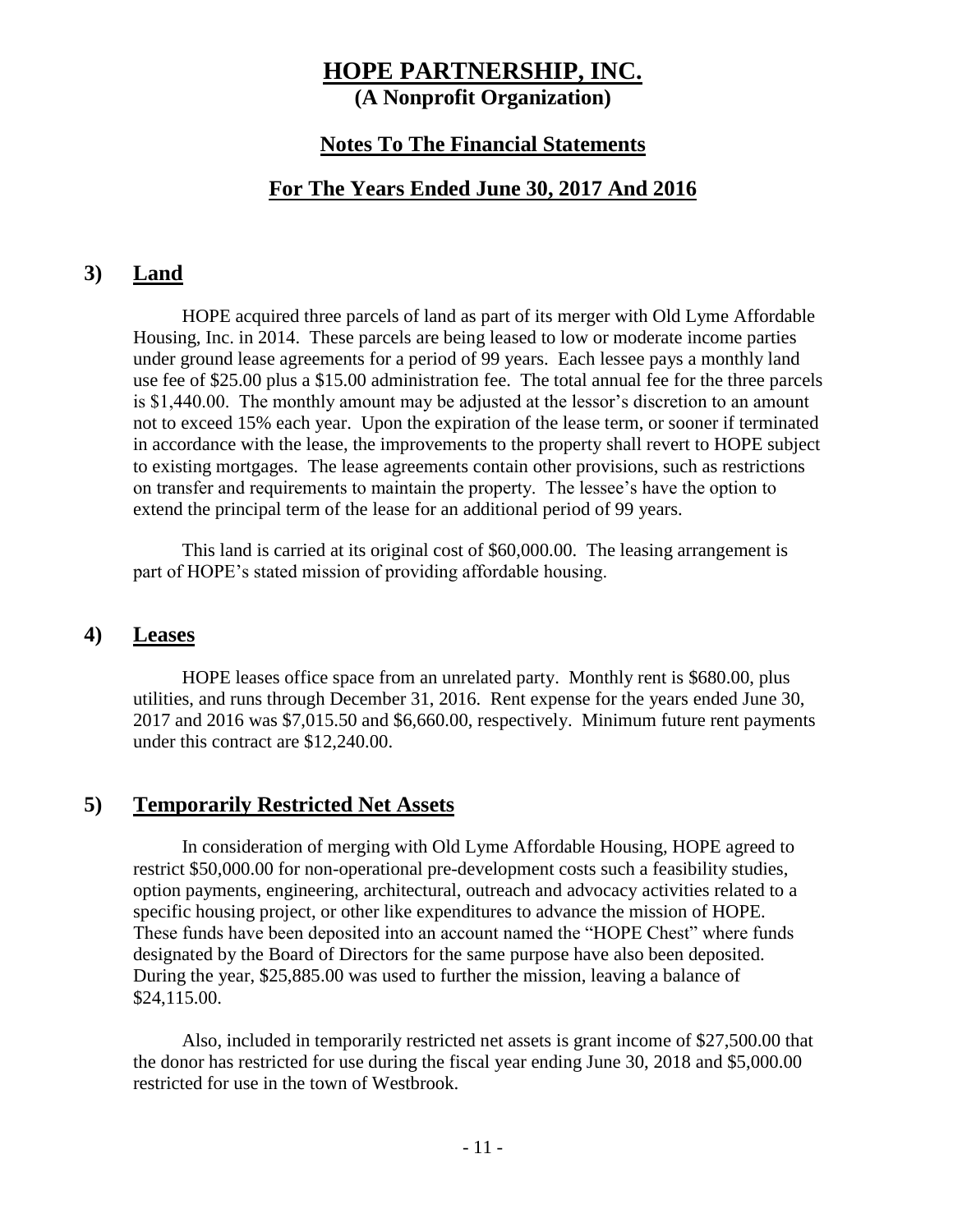#### **Notes To The Financial Statements**

#### **For The Years Ended June 30, 2017 And 2016**

#### **3) Land**

HOPE acquired three parcels of land as part of its merger with Old Lyme Affordable Housing, Inc. in 2014. These parcels are being leased to low or moderate income parties under ground lease agreements for a period of 99 years. Each lessee pays a monthly land use fee of \$25.00 plus a \$15.00 administration fee. The total annual fee for the three parcels is \$1,440.00. The monthly amount may be adjusted at the lessor's discretion to an amount not to exceed 15% each year. Upon the expiration of the lease term, or sooner if terminated in accordance with the lease, the improvements to the property shall revert to HOPE subject to existing mortgages. The lease agreements contain other provisions, such as restrictions on transfer and requirements to maintain the property. The lessee's have the option to extend the principal term of the lease for an additional period of 99 years.

This land is carried at its original cost of \$60,000.00. The leasing arrangement is part of HOPE's stated mission of providing affordable housing.

#### **4) Leases**

HOPE leases office space from an unrelated party. Monthly rent is \$680.00, plus utilities, and runs through December 31, 2016. Rent expense for the years ended June 30, 2017 and 2016 was \$7,015.50 and \$6,660.00, respectively. Minimum future rent payments under this contract are \$12,240.00.

#### **5) Temporarily Restricted Net Assets**

In consideration of merging with Old Lyme Affordable Housing, HOPE agreed to restrict \$50,000.00 for non-operational pre-development costs such a feasibility studies, option payments, engineering, architectural, outreach and advocacy activities related to a specific housing project, or other like expenditures to advance the mission of HOPE. These funds have been deposited into an account named the "HOPE Chest" where funds designated by the Board of Directors for the same purpose have also been deposited. During the year, \$25,885.00 was used to further the mission, leaving a balance of \$24,115.00.

Also, included in temporarily restricted net assets is grant income of \$27,500.00 that the donor has restricted for use during the fiscal year ending June 30, 2018 and \$5,000.00 restricted for use in the town of Westbrook.